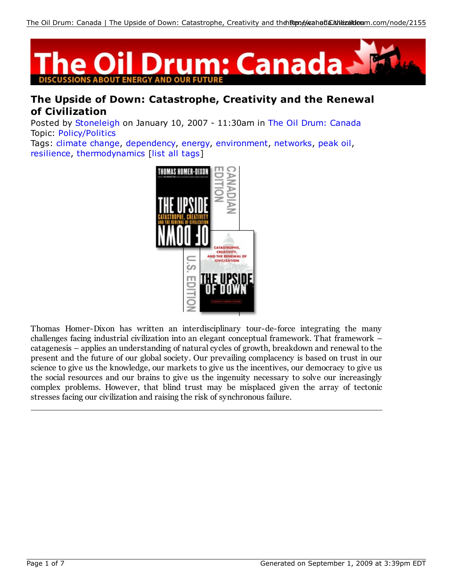

# **The Upside of Down: Catastrophe, Creativity and the Renewal of Civilization**

Posted by Stoneleigh on January 10, 2007 - 11:30am in The Oil Drum: Canada Topic: Policy/Politics

Tags: climate change, dependency, energy, environment, networks, peak oil, resilience, thermodynamics [list all tags]



Thomas Homer-Dixon has written an interdisciplinary tour-de-force integrating the many challenges facing industrial civilization into an elegant conceptual framework. That framework – catagenesis – applies an understanding of natural cycles of growth, breakdown and renewal to the present and the future of our global society. Our prevailing complacency is based on trust in our science to give us the knowledge, our markets to give us the incentives, our democracy to give us the social resources and our brains to give us the ingenuity necessary to solve our increasingly complex problems. However, that blind trust may be misplaced given the array of tectonic stresses facing our civilization and raising the risk of synchronous failure.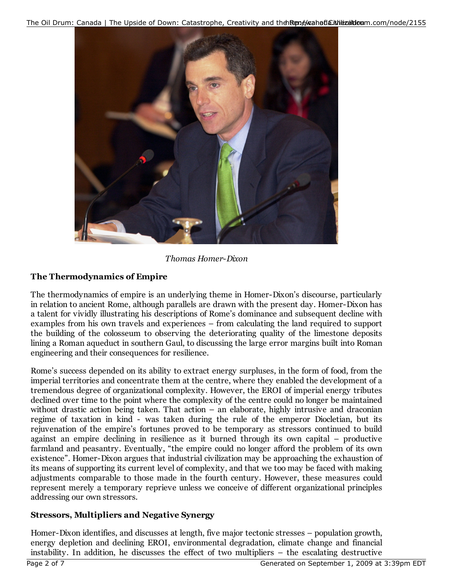The Oil Drum: Canada | The Upside of Down: Catastrophe, Creativity and theh Rtene blanda Citvile zaldoum.com/node/2155



*Thomas Homer-Dixon*

## **The Thermodynamics of Empire**

The thermodynamics of empire is an underlying theme in Homer-Dixon's discourse, particularly in relation to ancient Rome, although parallels are drawn with the present day. Homer-Dixon has a talent for vividly illustrating his descriptions of Rome's dominance and subsequent decline with examples from his own travels and experiences – from calculating the land required to support the building of the colosseum to observing the deteriorating quality of the limestone deposits lining a Roman aqueduct in southern Gaul, to discussing the large error margins built into Roman engineering and their consequences for resilience.

Rome's success depended on its ability to extract energy surpluses, in the form of food, from the imperial territories and concentrate them at the centre, where they enabled the development of a tremendous degree of organizational complexity. However, the EROI of imperial energy tributes declined over time to the point where the complexity of the centre could no longer be maintained without drastic action being taken. That action – an elaborate, highly intrusive and draconian regime of taxation in kind - was taken during the rule of the emperor Diocletian, but its rejuvenation of the empire's fortunes proved to be temporary as stressors continued to build against an empire declining in resilience as it burned through its own capital – productive farmland and peasantry. Eventually, "the empire could no longer afford the problem of its own existence". Homer-Dixon argues that industrial civilization may be approaching the exhaustion of its means of supporting its current level of complexity, and that we too may be faced with making adjustments comparable to those made in the fourth century. However, these measures could represent merely a temporary reprieve unless we conceive of different organizational principles addressing our own stressors.

## **Stressors, Multipliers and Negative Synergy**

Homer-Dixon identifies, and discusses at length, five major tectonic stresses – population growth, energy depletion and declining EROI, environmental degradation, climate change and financial instability. In addition, he discusses the effect of two multipliers – the escalating destructive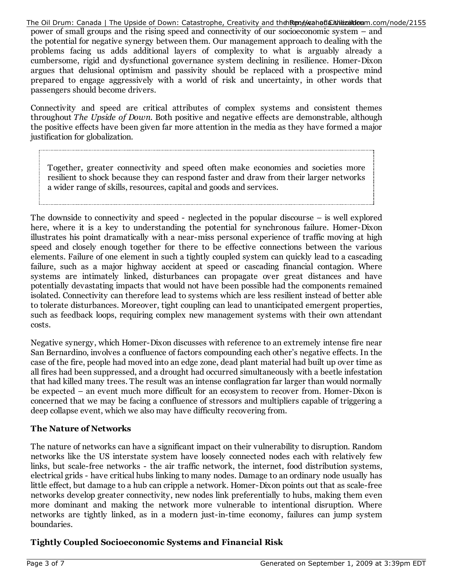The Oil Drum: Canada | The Upside of Down: Catastrophe, Creativity and theh Rene Manaflaith biland com/node/2155

power of small groups and the rising speed and connectivity of our socioeconomic system – and the potential for negative synergy between them. Our management approach to dealing with the problems facing us adds additional layers of complexity to what is arguably already a cumbersome, rigid and dysfunctional governance system declining in resilience. Homer-Dixon argues that delusional optimism and passivity should be replaced with a prospective mind prepared to engage aggressively with a world of risk and uncertainty, in other words that passengers should become drivers.

Connectivity and speed are critical attributes of complex systems and consistent themes throughout *The Upside of Down*. Both positive and negative effects are demonstrable, although the positive effects have been given far more attention in the media as they have formed a major justification for globalization.

Together, greater connectivity and speed often make economies and societies more resilient to shock because they can respond faster and draw from their larger networks a wider range of skills, resources, capital and goods and services.

The downside to connectivity and speed - neglected in the popular discourse – is well explored here, where it is a key to understanding the potential for synchronous failure. Homer-Dixon illustrates his point dramatically with a near-miss personal experience of traffic moving at high speed and closely enough together for there to be effective connections between the various elements. Failure of one element in such a tightly coupled system can quickly lead to a cascading failure, such as a major highway accident at speed or cascading financial contagion. Where systems are intimately linked, disturbances can propagate over great distances and have potentially devastating impacts that would not have been possible had the components remained isolated. Connectivity can therefore lead to systems which are less resilient instead of better able to tolerate disturbances. Moreover, tight coupling can lead to unanticipated emergent properties, such as feedback loops, requiring complex new management systems with their own attendant costs.

Negative synergy, which Homer-Dixon discusses with reference to an extremely intense fire near San Bernardino, involves a confluence of factors compounding each other's negative effects. In the case of the fire, people had moved into an edge zone, dead plant material had built up over time as all fires had been suppressed, and a drought had occurred simultaneously with a beetle infestation that had killed many trees. The result was an intense conflagration far larger than would normally be expected – an event much more difficult for an ecosystem to recover from. Homer-Dixon is concerned that we may be facing a confluence of stressors and multipliers capable of triggering a deep collapse event, which we also may have difficulty recovering from.

### **The Nature of Networks**

The nature of networks can have a significant impact on their vulnerability to disruption. Random networks like the US interstate system have loosely connected nodes each with relatively few links, but scale-free networks - the air traffic network, the internet, food distribution systems, electrical grids - have critical hubs linking to many nodes. Damage to an ordinary node usually has little effect, but damage to a hub can cripple a network. Homer-Dixon points out that as scale-free networks develop greater connectivity, new nodes link preferentially to hubs, making them even more dominant and making the network more vulnerable to intentional disruption. Where networks are tightly linked, as in a modern just-in-time economy, failures can jump system boundaries.

### **Tightly Coupled Socioeconomic Systems and Financial Risk**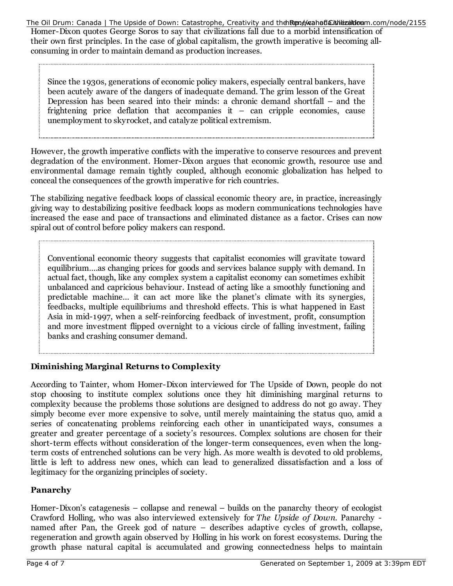The Oil Drum: Canada | The Upside of Down: Catastrophe, Creativity and theh Rene Maahatla Litheizaildioum.com/node/2155

Homer-Dixon quotes George Soros to say that civilizations fall due to a morbid intensification of their own first principles. In the case of global capitalism, the growth imperative is becoming allconsuming in order to maintain demand as production increases.

Since the 1930s, generations of economic policy makers, especially central bankers, have been acutely aware of the dangers of inadequate demand. The grim lesson of the Great Depression has been seared into their minds: a chronic demand shortfall – and the frightening price deflation that accompanies it – can cripple economies, cause unemployment to skyrocket, and catalyze political extremism.

However, the growth imperative conflicts with the imperative to conserve resources and prevent degradation of the environment. Homer-Dixon argues that economic growth, resource use and environmental damage remain tightly coupled, although economic globalization has helped to conceal the consequences of the growth imperative for rich countries.

The stabilizing negative feedback loops of classical economic theory are, in practice, increasingly giving way to destabilizing positive feedback loops as modern communications technologies have increased the ease and pace of transactions and eliminated distance as a factor. Crises can now spiral out of control before policy makers can respond.

Conventional economic theory suggests that capitalist economies will gravitate toward equilibrium….as changing prices for goods and services balance supply with demand. In actual fact, though, like any complex system a capitalist economy can sometimes exhibit unbalanced and capricious behaviour. Instead of acting like a smoothly functioning and predictable machine… it can act more like the planet's climate with its synergies, feedbacks, multiple equilibriums and threshold effects. This is what happened in East Asia in mid-1997, when a self-reinforcing feedback of investment, profit, consumption and more investment flipped overnight to a vicious circle of falling investment, failing banks and crashing consumer demand.

## **Diminishing Marginal Returns to Complexity**

According to Tainter, whom Homer-Dixon interviewed for The Upside of Down, people do not stop choosing to institute complex solutions once they hit diminishing marginal returns to complexity because the problems those solutions are designed to address do not go away. They simply become ever more expensive to solve, until merely maintaining the status quo, amid a series of concatenating problems reinforcing each other in unanticipated ways, consumes a greater and greater percentage of a society's resources. Complex solutions are chosen for their short-term effects without consideration of the longer-term consequences, even when the longterm costs of entrenched solutions can be very high. As more wealth is devoted to old problems, little is left to address new ones, which can lead to generalized dissatisfaction and a loss of legitimacy for the organizing principles of society.

### **Panarchy**

Homer-Dixon's catagenesis – collapse and renewal – builds on the panarchy theory of ecologist Crawford Holling, who was also interviewed extensively for *The Upside of Down*. Panarchy named after Pan, the Greek god of nature – describes adaptive cycles of growth, collapse, regeneration and growth again observed by Holling in his work on forest ecosystems. During the growth phase natural capital is accumulated and growing connectedness helps to maintain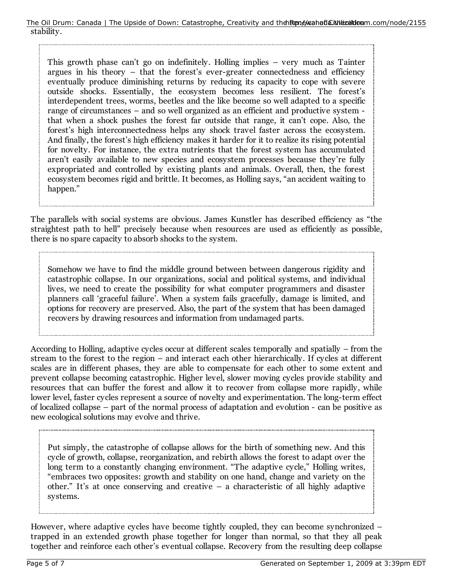This growth phase can't go on indefinitely. Holling implies – very much as Tainter argues in his theory – that the forest's ever-greater connectedness and efficiency eventually produce diminishing returns by reducing its capacity to cope with severe outside shocks. Essentially, the ecosystem becomes less resilient. The forest's interdependent trees, worms, beetles and the like become so well adapted to a specific range of circumstances – and so well organized as an efficient and productive system that when a shock pushes the forest far outside that range, it can't cope. Also, the forest's high interconnectedness helps any shock travel faster across the ecosystem. And finally, the forest's high efficiency makes it harder for it to realize its rising potential for novelty. For instance, the extra nutrients that the forest system has accumulated aren't easily available to new species and ecosystem processes because they're fully expropriated and controlled by existing plants and animals. Overall, then, the forest ecosystem becomes rigid and brittle. It becomes, as Holling says, "an accident waiting to happen."

The parallels with social systems are obvious. James Kunstler has described efficiency as "the straightest path to hell" precisely because when resources are used as efficiently as possible, there is no spare capacity to absorb shocks to the system.

Somehow we have to find the middle ground between between dangerous rigidity and catastrophic collapse. In our organizations, social and political systems, and individual lives, we need to create the possibility for what computer programmers and disaster planners call 'graceful failure'. When a system fails gracefully, damage is limited, and options for recovery are preserved. Also, the part of the system that has been damaged recovers by drawing resources and information from undamaged parts.

According to Holling, adaptive cycles occur at different scales temporally and spatially – from the stream to the forest to the region – and interact each other hierarchically. If cycles at different scales are in different phases, they are able to compensate for each other to some extent and prevent collapse becoming catastrophic. Higher level, slower moving cycles provide stability and resources that can buffer the forest and allow it to recover from collapse more rapidly, while lower level, faster cycles represent a source of novelty and experimentation. The long-term effect of localized collapse – part of the normal process of adaptation and evolution - can be positive as new ecological solutions may evolve and thrive.

Put simply, the catastrophe of collapse allows for the birth of something new. And this cycle of growth, collapse, reorganization, and rebirth allows the forest to adapt over the long term to a constantly changing environment. "The adaptive cycle," Holling writes, "embraces two opposites: growth and stability on one hand, change and variety on the other." It's at once conserving and creative – a characteristic of all highly adaptive systems.

However, where adaptive cycles have become tightly coupled, they can become synchronized – trapped in an extended growth phase together for longer than normal, so that they all peak together and reinforce each other's eventual collapse. Recovery from the resulting deep collapse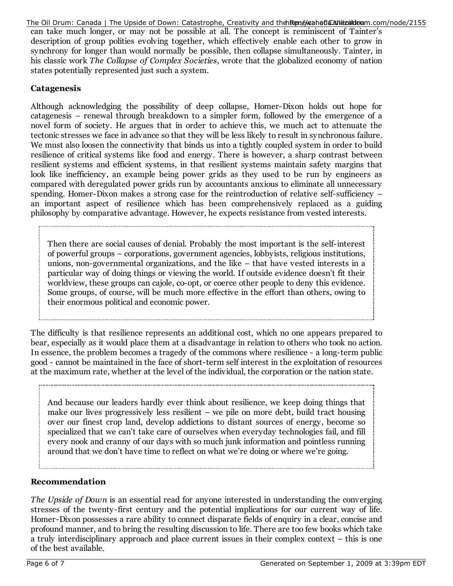The Oil Drum: Canada | The Upside of Down: Catastrophe, Creativity and theh Rene Manaflaith biland com/node/2155

can take much longer, or may not be possible at all. The concept is reminiscent of Tainter's description of group polities evolving together, which effectively enable each other to grow in synchrony for longer than would normally be possible, then collapse simultaneously. Tainter, in his classic work *The Collapse of Complex Societies*, wrote that the globalized economy of nation states potentially represented just such a system.

#### **Catagenesis**

Although acknowledging the possibility of deep collapse, Homer-Dixon holds out hope for catagenesis – renewal through breakdown to a simpler form, followed by the emergence of a novel form of society. He argues that in order to achieve this, we much act to attenuate the tectonic stresses we face in advance so that they will be less likely to result in synchronous failure. We must also loosen the connectivity that binds us into a tightly coupled system in order to build resilience of critical systems like food and energy. There is however, a sharp contrast between resilient systems and efficient systems, in that resilient systems maintain safety margins that look like inefficiency, an example being power grids as they used to be run by engineers as compared with deregulated power grids run by accountants anxious to eliminate all unnecessary spending. Homer-Dixon makes a strong case for the reintroduction of relative self-sufficiency – an important aspect of resilience which has been comprehensively replaced as a guiding philosophy by comparative advantage. However, he expects resistance from vested interests.

Then there are social causes of denial. Probably the most important is the self-interest of powerful groups – corporations, government agencies, lobbyists, religious institutions, unions, non-governmental organizations, and the like – that have vested interests in a particular way of doing things or viewing the world. If outside evidence doesn't fit their worldview, these groups can cajole, co-opt, or coerce other people to deny this evidence. Some groups, of course, will be much more effective in the effort than others, owing to their enormous political and economic power.

The difficulty is that resilience represents an additional cost, which no one appears prepared to bear, especially as it would place them at a disadvantage in relation to others who took no action. In essence, the problem becomes a tragedy of the commons where resilience - a long-term public good - cannot be maintained in the face of short-term self interest in the exploitation of resources at the maximum rate, whether at the level of the individual, the corporation or the nation state.

And because our leaders hardly ever think about resilience, we keep doing things that make our lives progressively less resilient – we pile on more debt, build tract housing over our finest crop land, develop addictions to distant sources of energy, become so specialized that we can't take care of ourselves when everyday technologies fail, and fill every nook and cranny of our days with so much junk information and pointless running around that we don't have time to reflect on what we're doing or where we're going.

#### **Recommendation**

*The Upside of Down* is an essential read for anyone interested in understanding the converging stresses of the twenty-first century and the potential implications for our current way of life. Homer-Dixon possesses a rare ability to connect disparate fields of enquiry in a clear, concise and profound manner, and to bring the resulting discussion to life. There are too few books which take a truly interdisciplinary approach and place current issues in their complex context – this is one of the best available.